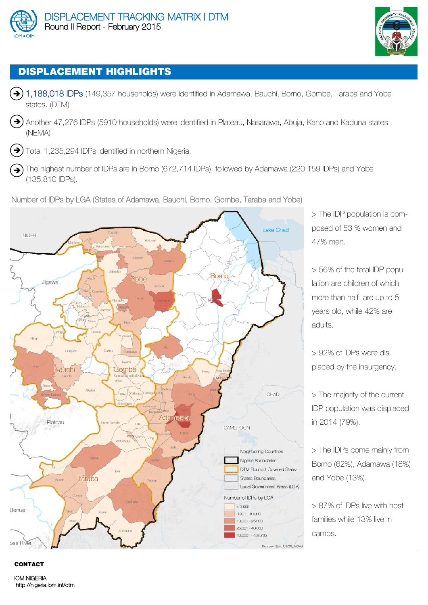



# **DISPLACEMENT HIGHLIGHTS**

- $\rightarrow$  1,188,018 IDPs (149,357 households) were identified in Adamawa, Bauchi, Borno, Gombe, Taraba and Yobe states. (DTM)
- $\rightarrow$ ) Another 47,276 IDPs (5910 households) were identified in Plateau, Nasarawa, Abuja, Kano and Kaduna states. (NEMA)

 $\rightarrow$ ) Total 1,235,294 IDPs identified in northern Nigeria.

 $\left(\rightarrow\right)$  The highest number of IDPs are in Borno (672,714 IDPs), followed by Adamawa (220,159 IDPs) and Yobe (135,810 IDPs).

Number of IDPs by LGA (States of Adamawa, Bauchi, Borno, Gombe, Taraba and Yobe)



> The IDP population is composed of 53 % women and 47% men.

> 56% of the total IDP population are children of which more than half are up to 5 years old, while 42% are adults.

> 92% of IDPs were displaced by the insurgency.

> The majority of the current IDP population was displaced in 2014 (79%).

> The IDPs come mainly from Borno (62%), Adamawa (18%) and Yobe (13%).

> 87% of IDPs live with host families while 13% live in camps.

#### **CONTACT**

IOM NIGERIA http://nigeria.iom.int/dtm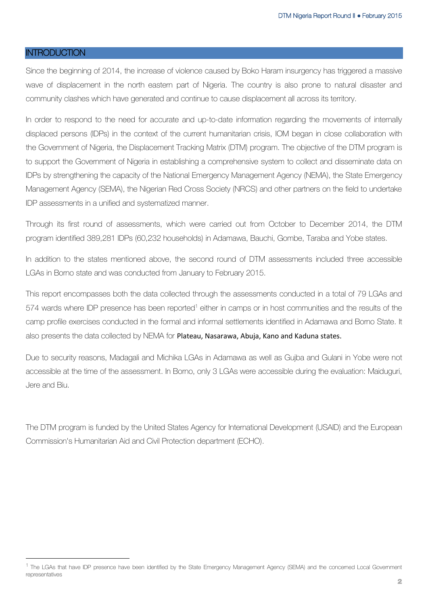#### **INTRODUCTION**

1

Since the beginning of 2014, the increase of violence caused by Boko Haram insurgency has triggered a massive wave of displacement in the north eastern part of Nigeria. The country is also prone to natural disaster and community clashes which have generated and continue to cause displacement all across its territory.

In order to respond to the need for accurate and up-to-date information regarding the movements of internally displaced persons (IDPs) in the context of the current humanitarian crisis, IOM began in close collaboration with the Government of Nigeria, the Displacement Tracking Matrix (DTM) program. The objective of the DTM program is to support the Government of Nigeria in establishing a comprehensive system to collect and disseminate data on IDPs by strengthening the capacity of the National Emergency Management Agency (NEMA), the State Emergency Management Agency (SEMA), the Nigerian Red Cross Society (NRCS) and other partners on the field to undertake IDP assessments in a unified and systematized manner.

Through its first round of assessments, which were carried out from October to December 2014, the DTM program identified 389,281 IDPs (60,232 households) in Adamawa, Bauchi, Gombe, Taraba and Yobe states.

In addition to the states mentioned above, the second round of DTM assessments included three accessible LGAs in Borno state and was conducted from January to February 2015.

This report encompasses both the data collected through the assessments conducted in a total of 79 LGAs and 574 wards where IDP presence has been reported<sup>1</sup> either in camps or in host communities and the results of the camp profile exercises conducted in the formal and informal settlements identified in Adamawa and Borno State. It also presents the data collected by NEMA for Plateau, Nasarawa, Abuja, Kano and Kaduna states.

Due to security reasons, Madagali and Michika LGAs in Adamawa as well as Gujba and Gulani in Yobe were not accessible at the time of the assessment. In Borno, only 3 LGAs were accessible during the evaluation: Maiduguri, Jere and Biu.

The DTM program is funded by the United States Agency for International Development (USAID) and the European Commission's Humanitarian Aid and Civil Protection department (ECHO).

<sup>&</sup>lt;sup>1</sup> The LGAs that have IDP presence have been identified by the State Emergency Management Agency (SEMA) and the concerned Local Government representatives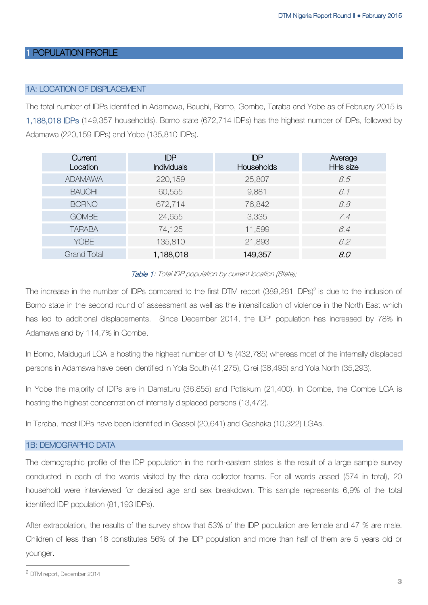#### 1 POPULATION PROFILE

#### 1A: LOCATION OF DISPLACEMENT

The total number of IDPs identified in Adamawa, Bauchi, Borno, Gombe, Taraba and Yobe as of February 2015 is 1,188,018 IDPs (149,357 households). Borno state (672,714 IDPs) has the highest number of IDPs, followed by Adamawa (220,159 IDPs) and Yobe (135,810 IDPs).

| Current<br>Location | <b>IDP</b><br><b>Individuals</b> | <b>IDP</b><br>Households | Average<br>HHs size |
|---------------------|----------------------------------|--------------------------|---------------------|
| <b>ADAMAWA</b>      | 220,159                          | 25,807                   | 8.5                 |
| <b>BAUCHI</b>       | 60,555                           | 9,881                    | 6.1                 |
| <b>BORNO</b>        | 672,714                          | 76,842                   | 8.8                 |
| <b>GOMBE</b>        | 24,655                           | 3,335                    | 7.4                 |
| <b>TARABA</b>       | 74,125                           | 11,599                   | 6.4                 |
| <b>YOBE</b>         | 135,810                          | 21,893                   | 6.2                 |
| <b>Grand Total</b>  | 1,188,018                        | 149,357                  | 8.0                 |

#### Table 1: Total IDP population by current location (State);

The increase in the number of IDPs compared to the first DTM report (389,281 IDPs)<sup>2</sup> is due to the inclusion of Borno state in the second round of assessment as well as the intensification of violence in the North East which has led to additional displacements. Since December 2014, the IDP' population has increased by 78% in Adamawa and by 114,7% in Gombe.

In Borno, Maiduguri LGA is hosting the highest number of IDPs (432,785) whereas most of the internally displaced persons in Adamawa have been identified in Yola South (41,275), Girei (38,495) and Yola North (35,293).

In Yobe the majority of IDPs are in Damaturu (36,855) and Potiskum (21,400). In Gombe, the Gombe LGA is hosting the highest concentration of internally displaced persons (13,472).

In Taraba, most IDPs have been identified in Gassol (20,641) and Gashaka (10,322) LGAs.

#### 1B: DEMOGRAPHIC DATA

The demographic profile of the IDP population in the north-eastern states is the result of a large sample survey conducted in each of the wards visited by the data collector teams. For all wards assed (574 in total), 20 household were interviewed for detailed age and sex breakdown. This sample represents 6,9% of the total identified IDP population (81,193 IDPs).

After extrapolation, the results of the survey show that 53% of the IDP population are female and 47 % are male. Children of less than 18 constitutes 56% of the IDP population and more than half of them are 5 years old or younger.

1

<sup>2</sup> DTM report, December 2014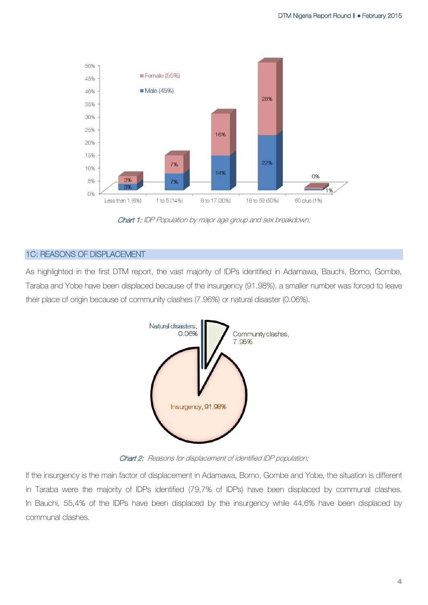

Chart 1: IDP Population by major age group and sex breakdown;

#### 1C: REASONS OF DISPLACEMENT

As highlighted in the first DTM report, the vast majority of IDPs identified in Adamawa, Bauchi, Borno, Gombe, Taraba and Yobe have been displaced because of the insurgency (91.98%). a smaller number was forced to leave their place of origin because of community clashes (7.96%) or natural disaster (0.06%).



Chart 2: Reasons for displacement of identified IDP population;

If the insurgency is the main factor of displacement in Adamawa, Borno, Gombe and Yobe, the situation is different in Taraba were the majority of IDPs identified (79,7% of IDPs) have been displaced by communal clashes. In Bauchi, 55,4% of the IDPs have been displaced by the insurgency while 44,6% have been displaced by communal clashes.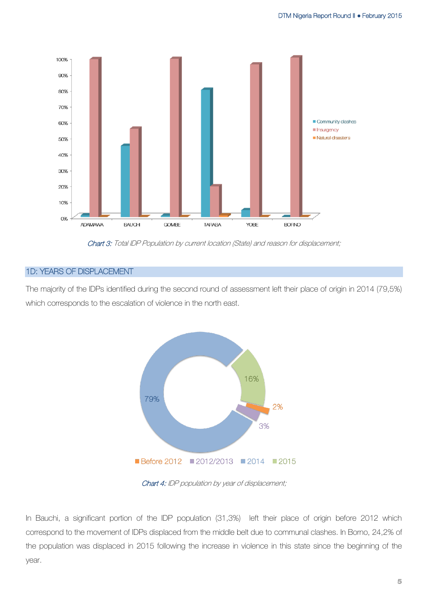

Chart 3: Total IDP Population by current location (State) and reason for displacement;

#### 1D: YEARS OF DISPLACEMENT

The majority of the IDPs identified during the second round of assessment left their place of origin in 2014 (79,5%) which corresponds to the escalation of violence in the north east.



Chart 4: IDP population by year of displacement;

In Bauchi, a significant portion of the IDP population (31,3%) left their place of origin before 2012 which correspond to the movement of IDPs displaced from the middle belt due to communal clashes. In Borno, 24,2% of the population was displaced in 2015 following the increase in violence in this state since the beginning of the year.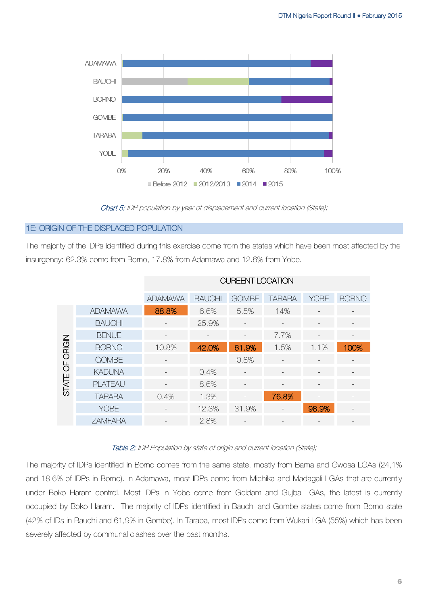

Chart 5: IDP population by year of displacement and current location (State);

#### 1E: ORIGIN OF THE DISPLACED POPULATION

The majority of the IDPs identified during this exercise come from the states which have been most affected by the insurgency: 62.3% come from Borno, 17.8% from Adamawa and 12.6% from Yobe.

|                 |                | <b>CUREENT LOCATION</b> |               |                          |               |                          |              |  |  |
|-----------------|----------------|-------------------------|---------------|--------------------------|---------------|--------------------------|--------------|--|--|
|                 |                | <b>ADAMAWA</b>          | <b>BAUCHI</b> | <b>GOMBE</b>             | <b>TARABA</b> | <b>YOBE</b>              | <b>BORNO</b> |  |  |
| STATE OF ORIGIN | <b>ADAMAWA</b> | 88.8%                   | 6.6%          | 5.5%                     | 14%           |                          |              |  |  |
|                 | <b>BAUCHI</b>  |                         | 25.9%         |                          |               |                          |              |  |  |
|                 | <b>BENUE</b>   |                         |               |                          | 7.7%          |                          |              |  |  |
|                 | <b>BORNO</b>   | 10.8%                   | 42.0%         | 61.9%                    | 1.5%          | 1.1%                     | 100%         |  |  |
|                 | <b>GOMBE</b>   |                         |               | 0.8%                     |               |                          |              |  |  |
|                 | <b>KADUNA</b>  |                         | 0.4%          |                          |               |                          |              |  |  |
|                 | <b>PLATEAU</b> |                         | 8.6%          |                          |               |                          |              |  |  |
|                 | <b>TARABA</b>  | 0.4%                    | 1.3%          |                          | 76.8%         | $\overline{\phantom{a}}$ |              |  |  |
|                 | <b>YOBE</b>    |                         | 12.3%         | 31.9%                    |               | 98.9%                    |              |  |  |
|                 | <b>ZAMFARA</b> |                         | 2.8%          | $\overline{\phantom{a}}$ |               | $\qquad \qquad -$        |              |  |  |

#### Table 2: IDP Population by state of origin and current location (State);

The majority of IDPs identified in Borno comes from the same state, mostly from Bama and Gwosa LGAs (24,1% and 18,6% of IDPs in Borno). In Adamawa, most IDPs come from Michika and Madagali LGAs that are currently under Boko Haram control. Most IDPs in Yobe come from Geidam and Gujba LGAs, the latest is currently occupied by Boko Haram. The majority of IDPs identified in Bauchi and Gombe states come from Borno state (42% of IDs in Bauchi and 61,9% in Gombe). In Taraba, most IDPs come from Wukari LGA (55%) which has been severely affected by communal clashes over the past months.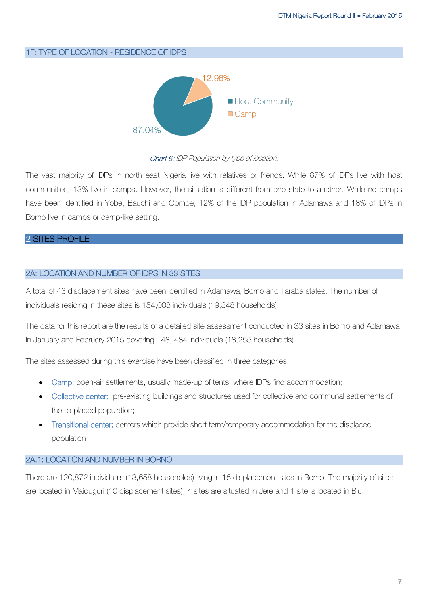#### 1F: TYPE OF LOCATION - RESIDENCE OF IDPS



#### Chart 6: IDP Population by type of location;

The vast majority of IDPs in north east Nigeria live with relatives or friends. While 87% of IDPs live with host communities, 13% live in camps. However, the situation is different from one state to another. While no camps have been identified in Yobe, Bauchi and Gombe, 12% of the IDP population in Adamawa and 18% of IDPs in Borno live in camps or camp-like setting.

#### 2 SITES PROFILE

#### 2A: LOCATION AND NUMBER OF IDPS IN 33 SITES

A total of 43 displacement sites have been identified in Adamawa, Borno and Taraba states. The number of individuals residing in these sites is 154,008 individuals (19,348 households).

The data for this report are the results of a detailed site assessment conducted in 33 sites in Borno and Adamawa in January and February 2015 covering 148, 484 individuals (18,255 households).

The sites assessed during this exercise have been classified in three categories:

- Camp: open-air settlements, usually made-up of tents, where IDPs find accommodation;
- Collective center: pre-existing buildings and structures used for collective and communal settlements of the displaced population;
- Transitional center: centers which provide short term/temporary accommodation for the displaced population.

#### 2A.1: LOCATION AND NUMBER IN BORNO

There are 120,872 individuals (13,658 households) living in 15 displacement sites in Borno. The majority of sites are located in Maiduguri (10 displacement sites), 4 sites are situated in Jere and 1 site is located in Biu.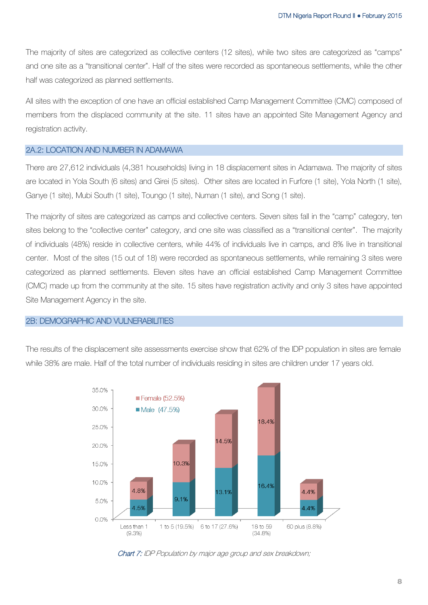The majority of sites are categorized as collective centers (12 sites), while two sites are categorized as "camps" and one site as a "transitional center". Half of the sites were recorded as spontaneous settlements, while the other half was categorized as planned settlements.

All sites with the exception of one have an official established Camp Management Committee (CMC) composed of members from the displaced community at the site. 11 sites have an appointed Site Management Agency and registration activity.

#### 2A.2: LOCATION AND NUMBER IN ADAMAWA

There are 27,612 individuals (4,381 households) living in 18 displacement sites in Adamawa. The majority of sites are located in Yola South (6 sites) and Girei (5 sites). Other sites are located in Furfore (1 site), Yola North (1 site), Ganye (1 site), Mubi South (1 site), Toungo (1 site), Numan (1 site), and Song (1 site).

The majority of sites are categorized as camps and collective centers. Seven sites fall in the "camp" category, ten sites belong to the "collective center" category, and one site was classified as a "transitional center". The majority of individuals (48%) reside in collective centers, while 44% of individuals live in camps, and 8% live in transitional center. Most of the sites (15 out of 18) were recorded as spontaneous settlements, while remaining 3 sites were categorized as planned settlements. Eleven sites have an official established Camp Management Committee (CMC) made up from the community at the site. 15 sites have registration activity and only 3 sites have appointed Site Management Agency in the site.

#### 2B: DEMOGRAPHIC AND VULNERABILITIES

The results of the displacement site assessments exercise show that 62% of the IDP population in sites are female while 38% are male. Half of the total number of individuals residing in sites are children under 17 years old.



Chart 7: IDP Population by major age group and sex breakdown;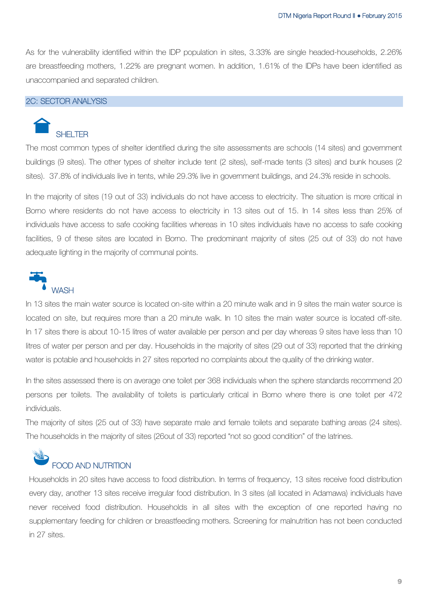As for the vulnerability identified within the IDP population in sites, 3.33% are single headed-households, 2.26% are breastfeeding mothers, 1.22% are pregnant women. In addition, 1.61% of the IDPs have been identified as unaccompanied and separated children.

#### 2C: SECTOR ANALYSIS

# SHELTER

The most common types of shelter identified during the site assessments are schools (14 sites) and government buildings (9 sites). The other types of shelter include tent (2 sites), self-made tents (3 sites) and bunk houses (2 sites). 37.8% of individuals live in tents, while 29.3% live in government buildings, and 24.3% reside in schools.

In the majority of sites (19 out of 33) individuals do not have access to electricity. The situation is more critical in Borno where residents do not have access to electricity in 13 sites out of 15. In 14 sites less than 25% of individuals have access to safe cooking facilities whereas in 10 sites individuals have no access to safe cooking facilities, 9 of these sites are located in Borno. The predominant majority of sites (25 out of 33) do not have adequate lighting in the majority of communal points.



In 13 sites the main water source is located on-site within a 20 minute walk and in 9 sites the main water source is located on site, but requires more than a 20 minute walk. In 10 sites the main water source is located off-site. In 17 sites there is about 10-15 litres of water available per person and per day whereas 9 sites have less than 10 litres of water per person and per day. Households in the majority of sites (29 out of 33) reported that the drinking water is potable and households in 27 sites reported no complaints about the quality of the drinking water.

In the sites assessed there is on average one toilet per 368 individuals when the sphere standards recommend 20 persons per toilets. The availability of toilets is particularly critical in Borno where there is one toilet per 472 individuals.

The majority of sites (25 out of 33) have separate male and female toilets and separate bathing areas (24 sites). The households in the majority of sites (26out of 33) reported "not so good condition" of the latrines.

# FOOD AND NUTRITION

Households in 20 sites have access to food distribution. In terms of frequency, 13 sites receive food distribution every day, another 13 sites receive irregular food distribution. In 3 sites (all located in Adamawa) individuals have never received food distribution. Households in all sites with the exception of one reported having no supplementary feeding for children or breastfeeding mothers. Screening for malnutrition has not been conducted in 27 sites.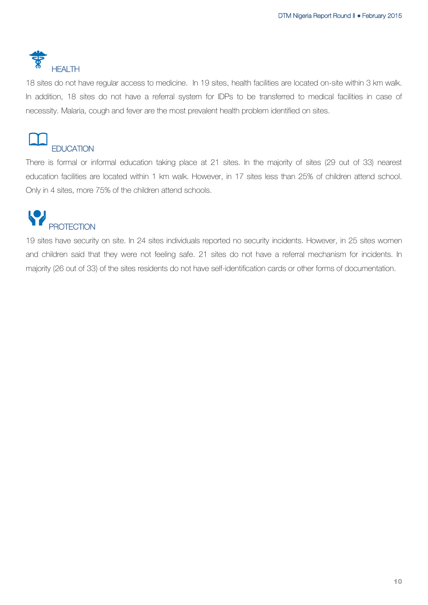

18 sites do not have regular access to medicine. In 19 sites, health facilities are located on-site within 3 km walk. In addition, 18 sites do not have a referral system for IDPs to be transferred to medical facilities in case of necessity. Malaria, cough and fever are the most prevalent health problem identified on sites.



There is formal or informal education taking place at 21 sites. In the majority of sites (29 out of 33) nearest education facilities are located within 1 km walk. However, in 17 sites less than 25% of children attend school. Only in 4 sites, more 75% of the children attend schools.

## P **PROTECTION**

19 sites have security on site. In 24 sites individuals reported no security incidents. However, in 25 sites women and children said that they were not feeling safe. 21 sites do not have a referral mechanism for incidents. In majority (26 out of 33) of the sites residents do not have self-identification cards or other forms of documentation.